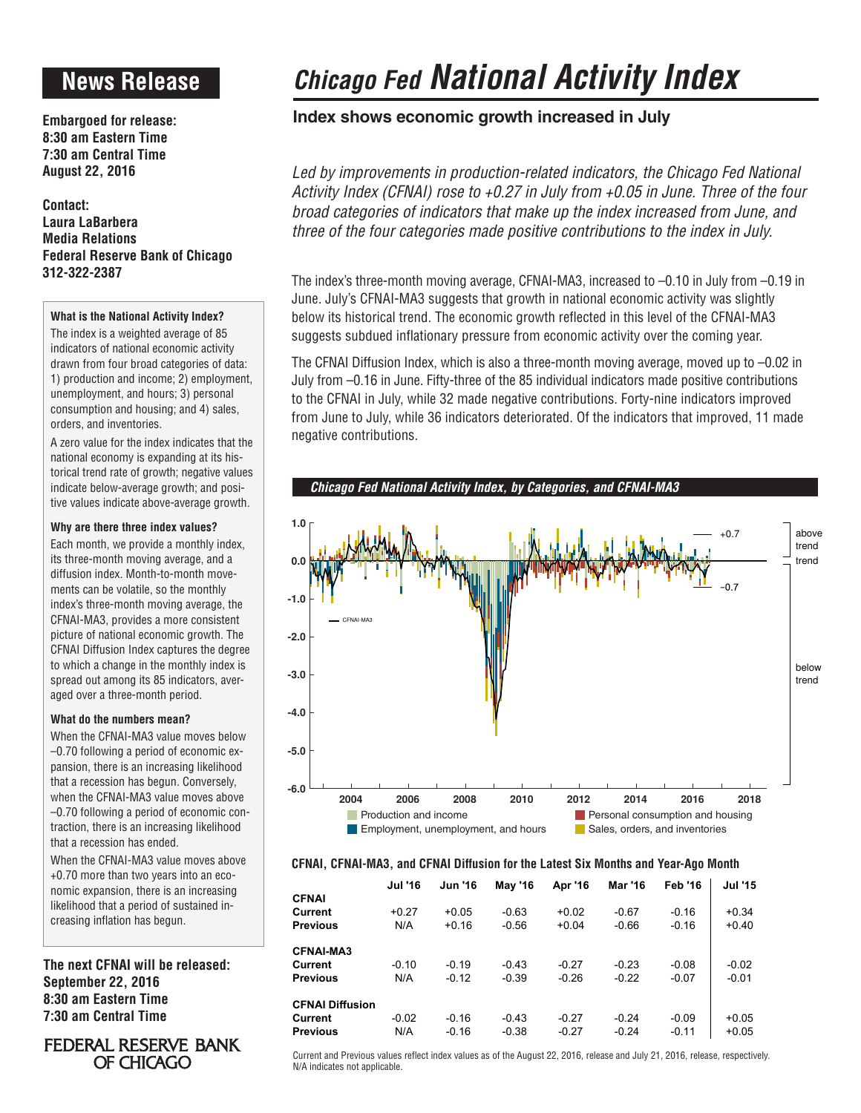# **News Release**

**Embargoed for release: 8:30 am Eastern Time 7:30 am Central Time August 22, 2016**

**Contact: Laura LaBarbera Media Relations Federal Reserve Bank of Chicago 312-322-2387**

### **What is the National Activity Index?**

The index is a weighted average of 85 indicators of national economic activity drawn from four broad categories of data: 1) production and income; 2) employment, unemployment, and hours; 3) personal consumption and housing; and 4) sales, orders, and inventories.

A zero value for the index indicates that the national economy is expanding at its historical trend rate of growth; negative values indicate below-average growth; and positive values indicate above-average growth.

### **Why are there three index values?**

Each month, we provide a monthly index, its three-month moving average, and a diffusion index. Month-to-month movements can be volatile, so the monthly index's three-month moving average, the CFNAI-MA3, provides a more consistent picture of national economic growth. The CFNAI Diffusion Index captures the degree to which a change in the monthly index is spread out among its 85 indicators, averaged over a three-month period.

### **What do the numbers mean?**

When the CFNAI-MA3 value moves below –0.70 following a period of economic expansion, there is an increasing likelihood that a recession has begun. Conversely, when the CFNAI-MA3 value moves above –0.70 following a period of economic contraction, there is an increasing likelihood that a recession has ended.

When the CFNAI-MA3 value moves above +0.70 more than two years into an economic expansion, there is an increasing likelihood that a period of sustained increasing inflation has begun.

**The next CFNAI will be released: September 22, 2016 8:30 am Eastern Time 7:30 am Central Time**

## **FEDERAL RESERVE BANK** OF CHICAGO

# *Chicago Fed National Activity Index*

# **Index shows economic growth increased in July**

Led by improvements in production-related indicators, the Chicago Fed National *Activity Index (CFNAI) rose to +0.27 in July from +0.05 in June. Three of the four broad categories of indicators that make up the index increased from June, and three of the four categories made positive contributions to the index in July.*

The index's three-month moving average, CFNAI-MA3, increased to –0.10 in July from –0.19 in June. July's CFNAI-MA3 suggests that growth in national economic activity was slightly below its historical trend. The economic growth reflected in this level of the CFNAI-MA3 suggests subdued inflationary pressure from economic activity over the coming year.

The CFNAI Diffusion Index, which is also a three-month moving average, moved up to –0.02 in July from –0.16 in June. Fifty-three of the 85 individual indicators made positive contributions to the CFNAI in July, while 32 made negative contributions. Forty-nine indicators improved from June to July, while 36 indicators deteriorated. Of the indicators that improved, 11 made negative contributions.





### **CFNAI, CFNAI-MA3, and CFNAI Diffusion for the Latest Six Months and Year-Ago Month**

|                        | <b>Jul '16</b> | <b>Jun '16</b> | <b>May '16</b> | Apr '16 | Mar '16 | <b>Feb '16</b> | <b>Jul '15</b> |
|------------------------|----------------|----------------|----------------|---------|---------|----------------|----------------|
| <b>CFNAI</b>           |                |                |                |         |         |                |                |
| Current                | $+0.27$        | $+0.05$        | $-0.63$        | $+0.02$ | $-0.67$ | $-0.16$        | $+0.34$        |
| <b>Previous</b>        | N/A            | $+0.16$        | $-0.56$        | $+0.04$ | $-0.66$ | $-0.16$        | $+0.40$        |
| <b>CFNAI-MA3</b>       |                |                |                |         |         |                |                |
| Current                | $-0.10$        | $-0.19$        | $-0.43$        | $-0.27$ | $-0.23$ | $-0.08$        | $-0.02$        |
| <b>Previous</b>        | N/A            | $-0.12$        | $-0.39$        | $-0.26$ | $-0.22$ | $-0.07$        | $-0.01$        |
| <b>CFNAI Diffusion</b> |                |                |                |         |         |                |                |
| Current                | $-0.02$        | $-0.16$        | $-0.43$        | $-0.27$ | $-0.24$ | $-0.09$        | $+0.05$        |
| <b>Previous</b>        | N/A            | $-0.16$        | $-0.38$        | $-0.27$ | $-0.24$ | $-0.11$        | $+0.05$        |

Current and Previous values reflect index values as of the August 22, 2016, release and July 21, 2016, release, respectively. N/A indicates not applicable.